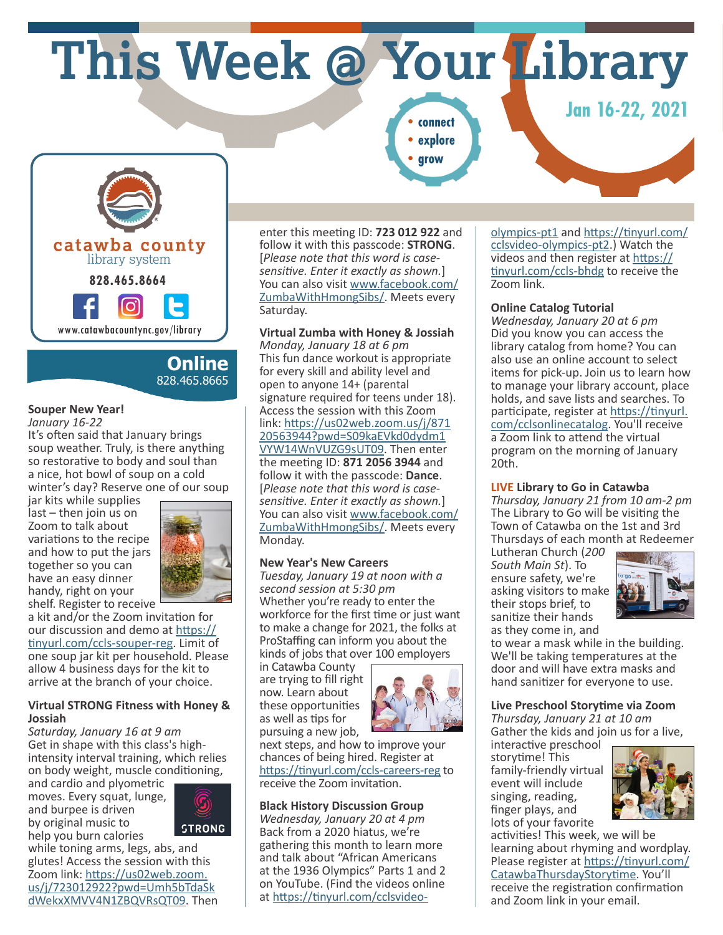# **This Week @ Your Library**

**•explore**

**•grow**

*<u>Jan 16-22, 2021</u>* 



## **Online** 828.465.8665

## **Souper New Year!**

*January 16-22*

It's often said that January brings soup weather. Truly, is there anything so restorative to body and soul than a nice, hot bowl of soup on a cold winter's day? Reserve one of our soup

jar kits while supplies last – then join us on Zoom to talk about variations to the recipe and how to put the jars together so you can have an easy dinner handy, right on your



shelf. Register to receive a kit and/or the Zoom invitation for our discussion and demo at https:// tinyurl.com/ccls-souper-reg. Limit of one soup jar kit per household. Please allow 4 business days for the kit to arrive at the branch of your choice.

#### **Virtual STRONG Fitness with Honey & Jossiah**

*Saturday, January 16 at 9 am* Get in shape with this class's highintensity interval training, which relies on body weight, muscle conditioning,

and cardio and plyometric moves. Every squat, lunge, and burpee is driven by original music to help you burn calories



while toning arms, legs, abs, and glutes! Access the session with this Zoom link: https://us02web.zoom. us/j/723012922?pwd=Umh5bTdaSk dWekxXMVV4N1ZBQVRsQT09. Then enter this meeting ID: **723 012 922** and follow it with this passcode: **STRONG**. [*Please note that this word is casesensitive. Enter it exactly as shown.*] You can also visit www.facebook.com/ ZumbaWithHmongSibs/. Meets every Saturday.

#### **Virtual Zumba with Honey & Jossiah** *Monday, January 18 at 6 pm* This fun dance workout is appropriate for every skill and ability level and open to anyone 14+ (parental signature required for teens under 18). Access the session with this Zoom link: https://us02web.zoom.us/j/871 20563944?pwd=S09kaEVkd0dydm1 VYW14WnVUZG9sUT09. Then enter the meeting ID: **871 2056 3944** and follow it with the passcode: **Dance**. [*Please note that this word is casesensitive. Enter it exactly as shown.*] You can also visit www.facebook.com/ ZumbaWithHmongSibs/. Meets every Monday.

## **New Year's New Careers**

*Tuesday, January 19 at noon with a second session at 5:30 pm* Whether you're ready to enter the workforce for the first time or just want to make a change for 2021, the folks at ProStaffing can inform you about the kinds of jobs that over 100 employers

in Catawba County are trying to fill right now. Learn about these opportunities as well as tips for pursuing a new job,



next steps, and how to improve your chances of being hired. Register at https://tinyurl.com/ccls-careers-reg to receive the Zoom invitation.

## **Black History Discussion Group**

*Wednesday, January 20 at 4 pm* Back from a 2020 hiatus, we're gathering this month to learn more and talk about "African Americans at the 1936 Olympics" Parts 1 and 2 on YouTube. (Find the videos online at https://tinyurl.com/cclsvideo-

olympics-pt1 and https://tinyurl.com/ cclsvideo-olympics-pt2.) Watch the videos and then register at https:// tinyurl.com/ccls-bhdg to receive the Zoom link.

#### **Online Catalog Tutorial**

*Wednesday, January 20 at 6 pm* Did you know you can access the library catalog from home? You can also use an online account to select items for pick-up. Join us to learn how to manage your library account, place holds, and save lists and searches. To participate, register at https://tinyurl. com/cclsonlinecatalog. You'll receive a Zoom link to attend the virtual program on the morning of January 20th.

## **LIVE Library to Go in Catawba**

*Thursday, January 21 from 10 am-2 pm* The Library to Go will be visiting the Town of Catawba on the 1st and 3rd Thursdays of each month at Redeemer

Lutheran Church (*200 South Main St*). To ensure safety, we're asking visitors to make their stops brief, to sanitize their hands as they come in, and



to wear a mask while in the building. We'll be taking temperatures at the door and will have extra masks and hand sanitizer for everyone to use.

## **Live Preschool Storytime via Zoom**

*Thursday, January 21 at 10 am* Gather the kids and join us for a live,

interactive preschool storytime! This family-friendly virtual event will include singing, reading, finger plays, and lots of your favorite



activities! This week, we will be learning about rhyming and wordplay. Please register at https://tinyurl.com/ CatawbaThursdayStorytime. You'll receive the registration confirmation and Zoom link in your email.